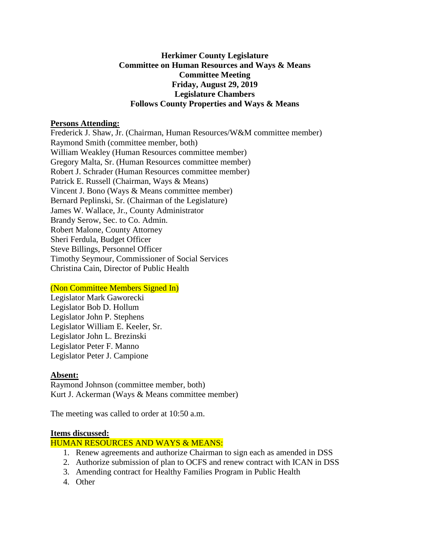# **Herkimer County Legislature Committee on Human Resources and Ways & Means Committee Meeting Friday, August 29, 2019 Legislature Chambers Follows County Properties and Ways & Means**

## **Persons Attending:**

Frederick J. Shaw, Jr. (Chairman, Human Resources/W&M committee member) Raymond Smith (committee member, both) William Weakley (Human Resources committee member) Gregory Malta, Sr. (Human Resources committee member) Robert J. Schrader (Human Resources committee member) Patrick E. Russell (Chairman, Ways & Means) Vincent J. Bono (Ways & Means committee member) Bernard Peplinski, Sr. (Chairman of the Legislature) James W. Wallace, Jr., County Administrator Brandy Serow, Sec. to Co. Admin. Robert Malone, County Attorney Sheri Ferdula, Budget Officer Steve Billings, Personnel Officer Timothy Seymour, Commissioner of Social Services Christina Cain, Director of Public Health

### (Non Committee Members Signed In)

Legislator Mark Gaworecki Legislator Bob D. Hollum Legislator John P. Stephens Legislator William E. Keeler, Sr. Legislator John L. Brezinski Legislator Peter F. Manno Legislator Peter J. Campione

### **Absent:**

Raymond Johnson (committee member, both) Kurt J. Ackerman (Ways & Means committee member)

The meeting was called to order at 10:50 a.m.

#### **Items discussed:**

### HUMAN RESOURCES AND WAYS & MEANS:

- 1. Renew agreements and authorize Chairman to sign each as amended in DSS
- 2. Authorize submission of plan to OCFS and renew contract with ICAN in DSS
- 3. Amending contract for Healthy Families Program in Public Health
- 4. Other